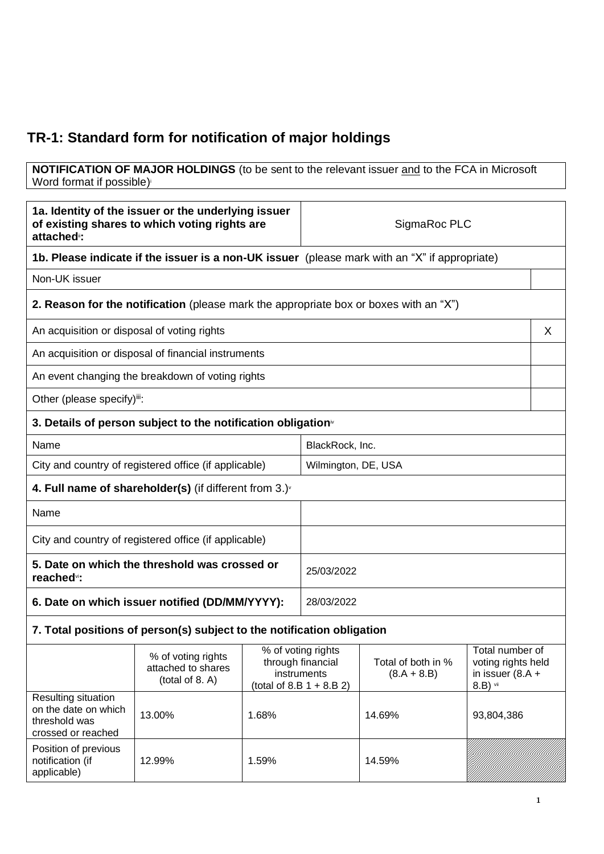## **TR-1: Standard form for notification of major holdings**

#### **NOTIFICATION OF MAJOR HOLDINGS** (to be sent to the relevant issuer and to the FCA in Microsoft Word format if possible)

| 1a. Identity of the issuer or the underlying issuer<br>of existing shares to which voting rights are<br>attached <sup>®</sup> : |                                                                                              |       | SigmaRoc PLC                                                                          |                                     |                                                                         |   |
|---------------------------------------------------------------------------------------------------------------------------------|----------------------------------------------------------------------------------------------|-------|---------------------------------------------------------------------------------------|-------------------------------------|-------------------------------------------------------------------------|---|
| <b>1b. Please indicate if the issuer is a non-UK issuer</b> (please mark with an "X" if appropriate)                            |                                                                                              |       |                                                                                       |                                     |                                                                         |   |
| Non-UK issuer                                                                                                                   |                                                                                              |       |                                                                                       |                                     |                                                                         |   |
|                                                                                                                                 | <b>2. Reason for the notification</b> (please mark the appropriate box or boxes with an "X") |       |                                                                                       |                                     |                                                                         |   |
| An acquisition or disposal of voting rights                                                                                     |                                                                                              |       |                                                                                       |                                     |                                                                         | X |
|                                                                                                                                 | An acquisition or disposal of financial instruments                                          |       |                                                                                       |                                     |                                                                         |   |
|                                                                                                                                 | An event changing the breakdown of voting rights                                             |       |                                                                                       |                                     |                                                                         |   |
| Other (please specify)iii:                                                                                                      |                                                                                              |       |                                                                                       |                                     |                                                                         |   |
|                                                                                                                                 | 3. Details of person subject to the notification obligation <sup>®</sup>                     |       |                                                                                       |                                     |                                                                         |   |
| Name                                                                                                                            |                                                                                              |       | BlackRock, Inc.                                                                       |                                     |                                                                         |   |
|                                                                                                                                 | City and country of registered office (if applicable)                                        |       | Wilmington, DE, USA                                                                   |                                     |                                                                         |   |
| 4. Full name of shareholder(s) (if different from $3.$ )                                                                        |                                                                                              |       |                                                                                       |                                     |                                                                         |   |
| Name                                                                                                                            |                                                                                              |       |                                                                                       |                                     |                                                                         |   |
| City and country of registered office (if applicable)                                                                           |                                                                                              |       |                                                                                       |                                     |                                                                         |   |
| 5. Date on which the threshold was crossed or<br>reached <sup>vi</sup> :                                                        |                                                                                              |       | 25/03/2022                                                                            |                                     |                                                                         |   |
| 6. Date on which issuer notified (DD/MM/YYYY):                                                                                  |                                                                                              |       | 28/03/2022                                                                            |                                     |                                                                         |   |
|                                                                                                                                 | 7. Total positions of person(s) subject to the notification obligation                       |       |                                                                                       |                                     |                                                                         |   |
|                                                                                                                                 | % of voting rights<br>attached to shares<br>(total of 8. A)                                  |       | % of voting rights<br>through financial<br>instruments<br>(total of 8.B $1 + 8.B 2$ ) | Total of both in %<br>$(8.A + 8.B)$ | Total number of<br>voting rights held<br>in issuer $(8.A +$<br>8.B) vii |   |
| Resulting situation<br>on the date on which<br>threshold was<br>crossed or reached                                              | 13.00%                                                                                       | 1.68% |                                                                                       | 14.69%                              | 93,804,386                                                              |   |
| Position of previous<br>notification (if<br>applicable)                                                                         | 12.99%                                                                                       | 1.59% |                                                                                       | 14.59%                              |                                                                         |   |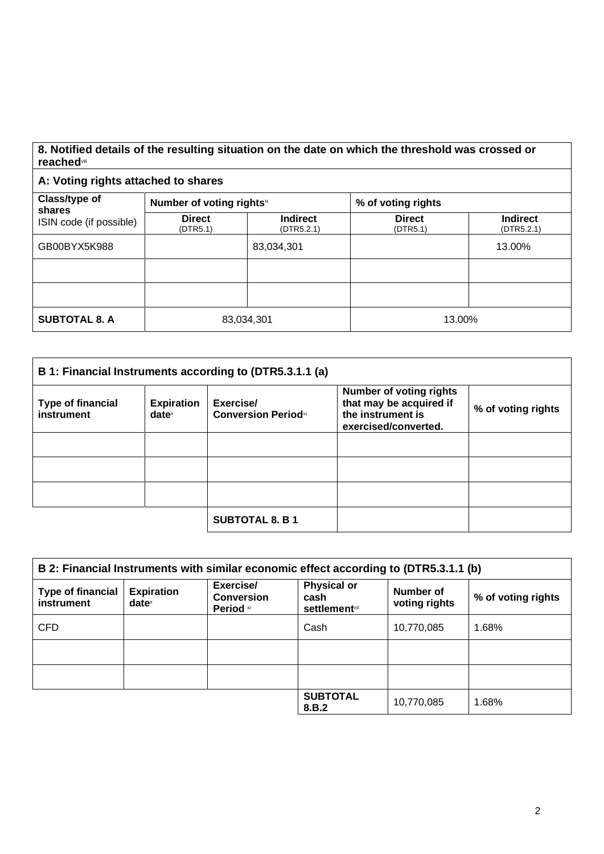#### **8. Notified details of the resulting situation on the date on which the threshold was crossed or reached**viii

### **A: Voting rights attached to shares**

| Class/type of<br>shares<br>ISIN code (if possible) | Number of voting rights <sup>ix</sup> |                               | % of voting rights        |                               |
|----------------------------------------------------|---------------------------------------|-------------------------------|---------------------------|-------------------------------|
|                                                    | <b>Direct</b><br>(DTR5.1)             | <b>Indirect</b><br>(DTR5.2.1) | <b>Direct</b><br>(DTR5.1) | <b>Indirect</b><br>(DTR5.2.1) |
| GB00BYX5K988                                       |                                       | 83,034,301                    |                           | 13.00%                        |
|                                                    |                                       |                               |                           |                               |
|                                                    |                                       |                               |                           |                               |
| <b>SUBTOTAL 8. A</b>                               | 83,034,301                            |                               | 13.00%                    |                               |

| B 1: Financial Instruments according to (DTR5.3.1.1 (a) |                                      |                                         |                                                                                                        |                    |
|---------------------------------------------------------|--------------------------------------|-----------------------------------------|--------------------------------------------------------------------------------------------------------|--------------------|
| <b>Type of financial</b><br>instrument                  | <b>Expiration</b><br>$date^{\times}$ | Exercise/<br><b>Conversion Periodxi</b> | <b>Number of voting rights</b><br>that may be acquired if<br>the instrument is<br>exercised/converted. | % of voting rights |
|                                                         |                                      |                                         |                                                                                                        |                    |
|                                                         |                                      |                                         |                                                                                                        |                    |
|                                                         |                                      |                                         |                                                                                                        |                    |
|                                                         |                                      | <b>SUBTOTAL 8. B 1</b>                  |                                                                                                        |                    |

| B 2: Financial Instruments with similar economic effect according to (DTR5.3.1.1 (b) |                               |                                             |                                                                |                            |                    |
|--------------------------------------------------------------------------------------|-------------------------------|---------------------------------------------|----------------------------------------------------------------|----------------------------|--------------------|
| <b>Type of financial</b><br>instrument                                               | <b>Expiration</b><br>$date^*$ | Exercise/<br><b>Conversion</b><br>Period xi | <b>Physical or</b><br>cash<br><b>settlement</b> <sup>xii</sup> | Number of<br>voting rights | % of voting rights |
| <b>CFD</b>                                                                           |                               |                                             | Cash                                                           | 10,770,085                 | 1.68%              |
|                                                                                      |                               |                                             |                                                                |                            |                    |
|                                                                                      |                               |                                             |                                                                |                            |                    |
|                                                                                      |                               |                                             | <b>SUBTOTAL</b><br>8.B.2                                       | 10,770,085                 | 1.68%              |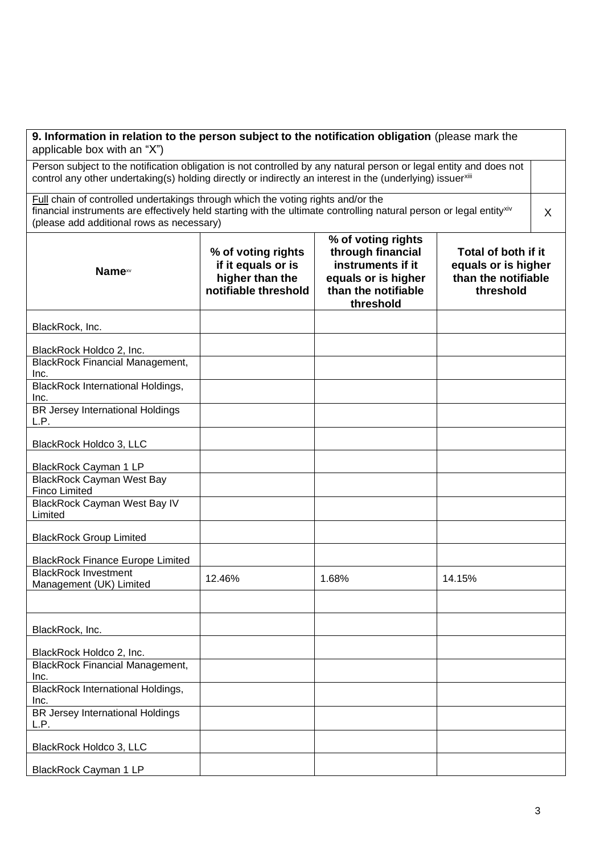| 9. Information in relation to the person subject to the notification obligation (please mark the<br>applicable box with an "X")                                                                                                                                  |                                                                                     |                                                                                                                         |                                                                                |   |
|------------------------------------------------------------------------------------------------------------------------------------------------------------------------------------------------------------------------------------------------------------------|-------------------------------------------------------------------------------------|-------------------------------------------------------------------------------------------------------------------------|--------------------------------------------------------------------------------|---|
| Person subject to the notification obligation is not controlled by any natural person or legal entity and does not<br>control any other undertaking(s) holding directly or indirectly an interest in the (underlying) issuerxili                                 |                                                                                     |                                                                                                                         |                                                                                |   |
| Full chain of controlled undertakings through which the voting rights and/or the<br>financial instruments are effectively held starting with the ultimate controlling natural person or legal entity <sup>xiv</sup><br>(please add additional rows as necessary) |                                                                                     |                                                                                                                         |                                                                                | X |
| <b>Name</b> xv                                                                                                                                                                                                                                                   | % of voting rights<br>if it equals or is<br>higher than the<br>notifiable threshold | % of voting rights<br>through financial<br>instruments if it<br>equals or is higher<br>than the notifiable<br>threshold | Total of both if it<br>equals or is higher<br>than the notifiable<br>threshold |   |
| BlackRock, Inc.                                                                                                                                                                                                                                                  |                                                                                     |                                                                                                                         |                                                                                |   |
| BlackRock Holdco 2, Inc.                                                                                                                                                                                                                                         |                                                                                     |                                                                                                                         |                                                                                |   |
| <b>BlackRock Financial Management,</b><br>Inc.                                                                                                                                                                                                                   |                                                                                     |                                                                                                                         |                                                                                |   |
| <b>BlackRock International Holdings,</b><br>Inc.                                                                                                                                                                                                                 |                                                                                     |                                                                                                                         |                                                                                |   |
| <b>BR Jersey International Holdings</b><br>L.P.                                                                                                                                                                                                                  |                                                                                     |                                                                                                                         |                                                                                |   |
| BlackRock Holdco 3, LLC                                                                                                                                                                                                                                          |                                                                                     |                                                                                                                         |                                                                                |   |
| BlackRock Cayman 1 LP                                                                                                                                                                                                                                            |                                                                                     |                                                                                                                         |                                                                                |   |
| <b>BlackRock Cayman West Bay</b><br><b>Finco Limited</b>                                                                                                                                                                                                         |                                                                                     |                                                                                                                         |                                                                                |   |
| <b>BlackRock Cayman West Bay IV</b><br>Limited                                                                                                                                                                                                                   |                                                                                     |                                                                                                                         |                                                                                |   |
| <b>BlackRock Group Limited</b>                                                                                                                                                                                                                                   |                                                                                     |                                                                                                                         |                                                                                |   |
| <b>BlackRock Finance Europe Limited</b>                                                                                                                                                                                                                          |                                                                                     |                                                                                                                         |                                                                                |   |
| <b>BlackRock Investment</b><br>Management (UK) Limited                                                                                                                                                                                                           | 12.46%                                                                              | 1.68%                                                                                                                   | 14.15%                                                                         |   |
|                                                                                                                                                                                                                                                                  |                                                                                     |                                                                                                                         |                                                                                |   |
| BlackRock, Inc.                                                                                                                                                                                                                                                  |                                                                                     |                                                                                                                         |                                                                                |   |
| BlackRock Holdco 2, Inc.                                                                                                                                                                                                                                         |                                                                                     |                                                                                                                         |                                                                                |   |
| <b>BlackRock Financial Management,</b><br>Inc.                                                                                                                                                                                                                   |                                                                                     |                                                                                                                         |                                                                                |   |
| <b>BlackRock International Holdings,</b><br>Inc.                                                                                                                                                                                                                 |                                                                                     |                                                                                                                         |                                                                                |   |
| <b>BR Jersey International Holdings</b><br>L.P.                                                                                                                                                                                                                  |                                                                                     |                                                                                                                         |                                                                                |   |
| BlackRock Holdco 3, LLC                                                                                                                                                                                                                                          |                                                                                     |                                                                                                                         |                                                                                |   |
| BlackRock Cayman 1 LP                                                                                                                                                                                                                                            |                                                                                     |                                                                                                                         |                                                                                |   |